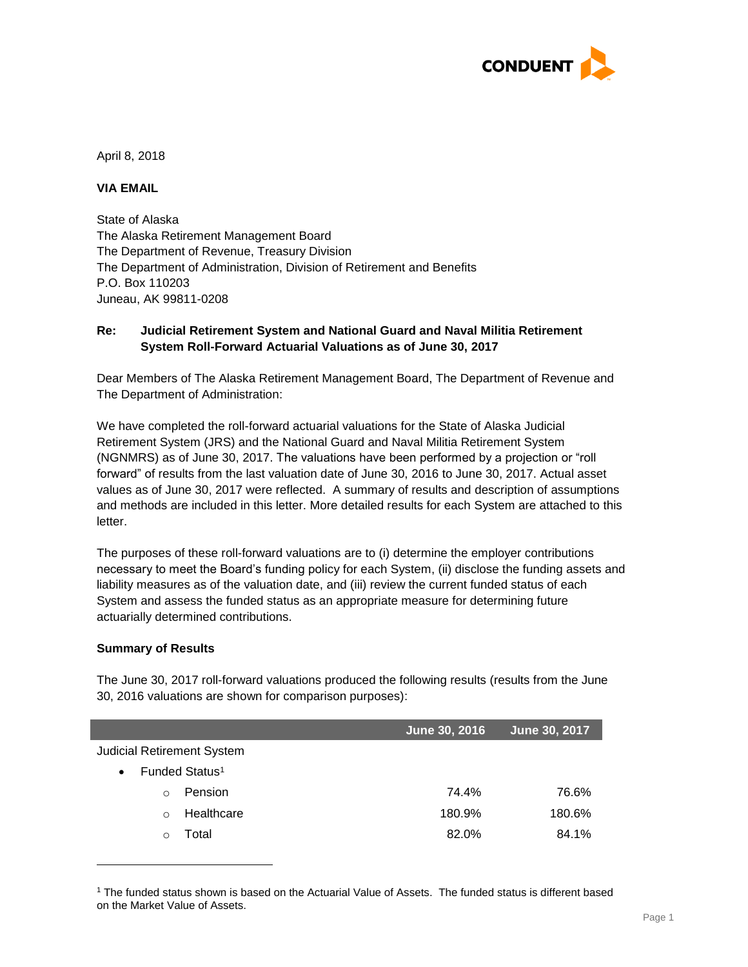

April 8, 2018

## **VIA EMAIL**

State of Alaska The Alaska Retirement Management Board The Department of Revenue, Treasury Division The Department of Administration, Division of Retirement and Benefits P.O. Box 110203 Juneau, AK 99811-0208

### **Re: Judicial Retirement System and National Guard and Naval Militia Retirement System Roll-Forward Actuarial Valuations as of June 30, 2017**

Dear Members of The Alaska Retirement Management Board, The Department of Revenue and The Department of Administration:

We have completed the roll-forward actuarial valuations for the State of Alaska Judicial Retirement System (JRS) and the National Guard and Naval Militia Retirement System (NGNMRS) as of June 30, 2017. The valuations have been performed by a projection or "roll forward" of results from the last valuation date of June 30, 2016 to June 30, 2017. Actual asset values as of June 30, 2017 were reflected. A summary of results and description of assumptions and methods are included in this letter. More detailed results for each System are attached to this letter.

The purposes of these roll-forward valuations are to (i) determine the employer contributions necessary to meet the Board's funding policy for each System, (ii) disclose the funding assets and liability measures as of the valuation date, and (iii) review the current funded status of each System and assess the funded status as an appropriate measure for determining future actuarially determined contributions.

### **Summary of Results**

l

The June 30, 2017 roll-forward valuations produced the following results (results from the June 30, 2016 valuations are shown for comparison purposes):

|                                         | June 30, 2016 | June 30, 2017 |
|-----------------------------------------|---------------|---------------|
| <b>Judicial Retirement System</b>       |               |               |
| Funded Status <sup>1</sup><br>$\bullet$ |               |               |
| Pension<br>$\Omega$                     | 74.4%         | 76.6%         |
| Healthcare<br>$\Omega$                  | 180.9%        | 180.6%        |
| Total                                   | 82.0%         | 84.1%         |

<sup>1</sup> The funded status shown is based on the Actuarial Value of Assets. The funded status is different based on the Market Value of Assets.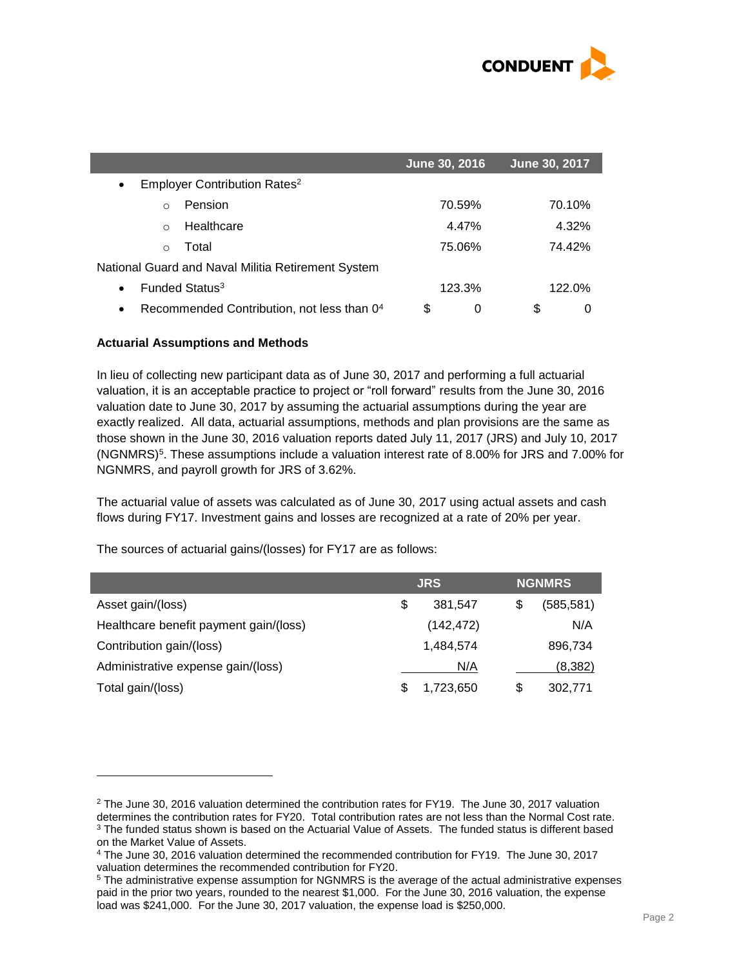

|                                                         | June 30, 2016 | June 30, 2017 |
|---------------------------------------------------------|---------------|---------------|
| Employer Contribution Rates <sup>2</sup><br>$\bullet$   |               |               |
| Pension<br>$\Omega$                                     | 70.59%        | 70.10%        |
| Healthcare<br>$\Omega$                                  | 4.47%         | 4.32%         |
| Total<br>$\Omega$                                       | 75.06%        | 74.42%        |
| National Guard and Naval Militia Retirement System      |               |               |
| Funded Status <sup>3</sup>                              | 123.3%        | 122.0%        |
| Recommended Contribution, not less than 04<br>$\bullet$ | \$<br>0       | S<br>0        |

#### **Actuarial Assumptions and Methods**

l

In lieu of collecting new participant data as of June 30, 2017 and performing a full actuarial valuation, it is an acceptable practice to project or "roll forward" results from the June 30, 2016 valuation date to June 30, 2017 by assuming the actuarial assumptions during the year are exactly realized. All data, actuarial assumptions, methods and plan provisions are the same as those shown in the June 30, 2016 valuation reports dated July 11, 2017 (JRS) and July 10, 2017 (NGNMRS)<sup>5</sup>. These assumptions include a valuation interest rate of 8.00% for JRS and 7.00% for NGNMRS, and payroll growth for JRS of 3.62%.

The actuarial value of assets was calculated as of June 30, 2017 using actual assets and cash flows during FY17. Investment gains and losses are recognized at a rate of 20% per year.

The sources of actuarial gains/(losses) for FY17 are as follows:

|                                        | <b>JRS</b>    |   | <b>NGNMRS</b> |
|----------------------------------------|---------------|---|---------------|
| Asset gain/(loss)                      | \$<br>381,547 |   | (585, 581)    |
| Healthcare benefit payment gain/(loss) | (142, 472)    |   | N/A           |
| Contribution gain/(loss)               | 1,484,574     |   | 896,734       |
| Administrative expense gain/(loss)     | N/A           |   | (8,382)       |
| Total gain/(loss)                      | 1,723,650     | S | 302,771       |

 $2$  The June 30, 2016 valuation determined the contribution rates for FY19. The June 30, 2017 valuation determines the contribution rates for FY20. Total contribution rates are not less than the Normal Cost rate. <sup>3</sup> The funded status shown is based on the Actuarial Value of Assets. The funded status is different based on the Market Value of Assets.

<sup>4</sup> The June 30, 2016 valuation determined the recommended contribution for FY19. The June 30, 2017 valuation determines the recommended contribution for FY20.

<sup>5</sup> The administrative expense assumption for NGNMRS is the average of the actual administrative expenses paid in the prior two years, rounded to the nearest \$1,000. For the June 30, 2016 valuation, the expense load was \$241,000. For the June 30, 2017 valuation, the expense load is \$250,000.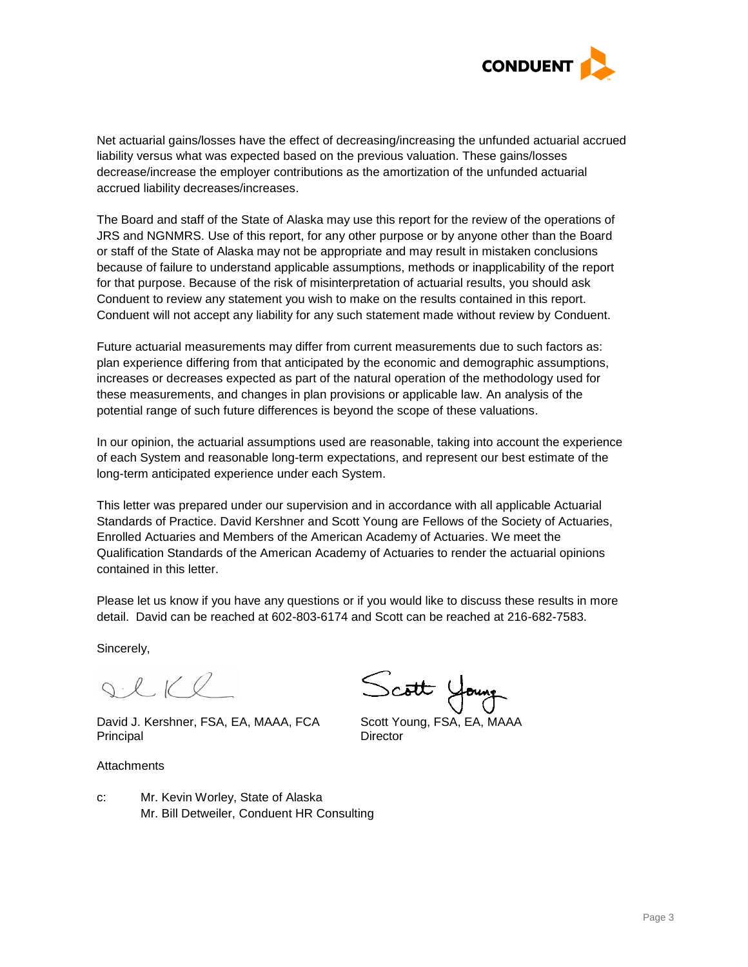

Net actuarial gains/losses have the effect of decreasing/increasing the unfunded actuarial accrued liability versus what was expected based on the previous valuation. These gains/losses decrease/increase the employer contributions as the amortization of the unfunded actuarial accrued liability decreases/increases.

The Board and staff of the State of Alaska may use this report for the review of the operations of JRS and NGNMRS. Use of this report, for any other purpose or by anyone other than the Board or staff of the State of Alaska may not be appropriate and may result in mistaken conclusions because of failure to understand applicable assumptions, methods or inapplicability of the report for that purpose. Because of the risk of misinterpretation of actuarial results, you should ask Conduent to review any statement you wish to make on the results contained in this report. Conduent will not accept any liability for any such statement made without review by Conduent.

Future actuarial measurements may differ from current measurements due to such factors as: plan experience differing from that anticipated by the economic and demographic assumptions, increases or decreases expected as part of the natural operation of the methodology used for these measurements, and changes in plan provisions or applicable law. An analysis of the potential range of such future differences is beyond the scope of these valuations.

In our opinion, the actuarial assumptions used are reasonable, taking into account the experience of each System and reasonable long-term expectations, and represent our best estimate of the long-term anticipated experience under each System.

This letter was prepared under our supervision and in accordance with all applicable Actuarial Standards of Practice. David Kershner and Scott Young are Fellows of the Society of Actuaries, Enrolled Actuaries and Members of the American Academy of Actuaries. We meet the Qualification Standards of the American Academy of Actuaries to render the actuarial opinions contained in this letter.

Please let us know if you have any questions or if you would like to discuss these results in more detail. David can be reached at 602-803-6174 and Scott can be reached at 216-682-7583.

Sincerely,

 $Q \cdot L K Q$ 

David J. Kershner, FSA, EA, MAAA, FCA Scott Young, FSA, EA, MAAA Principal Director

**Attachments** 

Scott Young

c: Mr. Kevin Worley, State of Alaska Mr. Bill Detweiler, Conduent HR Consulting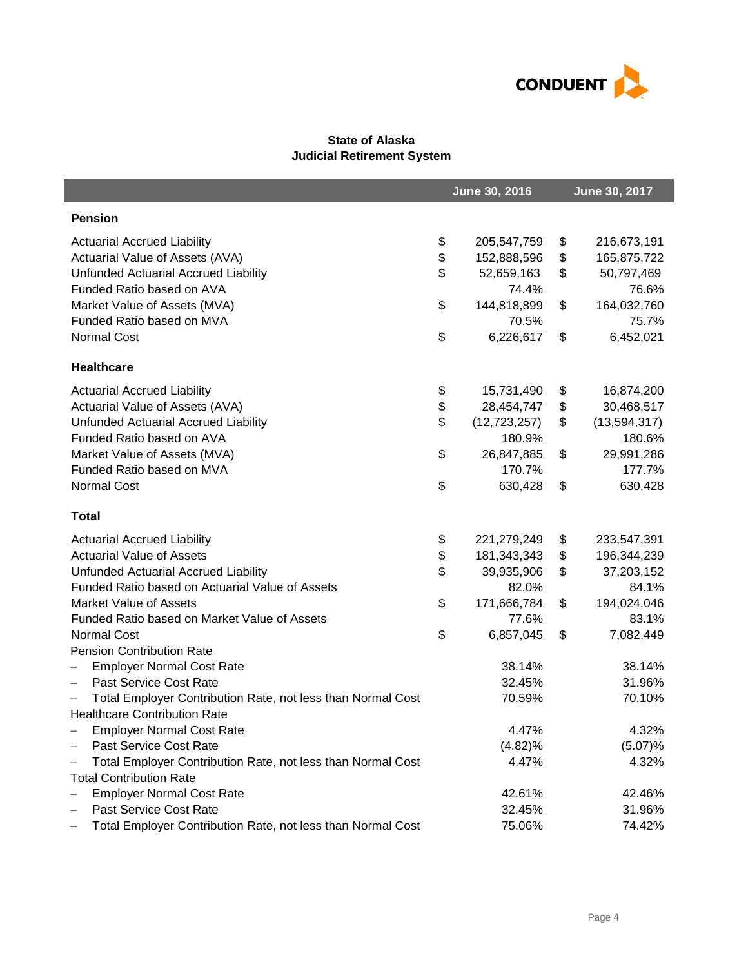

# **State of Alaska Judicial Retirement System**

|                                                                                  | June 30, 2016 |                |    | June 30, 2017  |  |
|----------------------------------------------------------------------------------|---------------|----------------|----|----------------|--|
| <b>Pension</b>                                                                   |               |                |    |                |  |
| <b>Actuarial Accrued Liability</b>                                               | \$            | 205,547,759    | \$ | 216,673,191    |  |
| Actuarial Value of Assets (AVA)                                                  | \$            | 152,888,596    | \$ | 165,875,722    |  |
| Unfunded Actuarial Accrued Liability                                             | \$            | 52,659,163     | \$ | 50,797,469     |  |
| Funded Ratio based on AVA                                                        |               | 74.4%          |    | 76.6%          |  |
| Market Value of Assets (MVA)                                                     | \$            | 144,818,899    | \$ | 164,032,760    |  |
| Funded Ratio based on MVA                                                        |               | 70.5%          |    | 75.7%          |  |
| <b>Normal Cost</b>                                                               | \$            | 6,226,617      | \$ | 6,452,021      |  |
| <b>Healthcare</b>                                                                |               |                |    |                |  |
| <b>Actuarial Accrued Liability</b>                                               | \$            | 15,731,490     | \$ | 16,874,200     |  |
| Actuarial Value of Assets (AVA)                                                  | \$            | 28,454,747     | \$ | 30,468,517     |  |
| Unfunded Actuarial Accrued Liability                                             | \$            | (12, 723, 257) | \$ | (13, 594, 317) |  |
| Funded Ratio based on AVA                                                        |               | 180.9%         |    | 180.6%         |  |
| Market Value of Assets (MVA)                                                     | \$            | 26,847,885     | \$ | 29,991,286     |  |
| Funded Ratio based on MVA                                                        |               | 170.7%         |    | 177.7%         |  |
| Normal Cost                                                                      | \$            | 630,428        | \$ | 630,428        |  |
| <b>Total</b>                                                                     |               |                |    |                |  |
| <b>Actuarial Accrued Liability</b>                                               | \$            | 221,279,249    | \$ | 233,547,391    |  |
| <b>Actuarial Value of Assets</b>                                                 | \$            | 181,343,343    | \$ | 196,344,239    |  |
| Unfunded Actuarial Accrued Liability                                             | \$            | 39,935,906     | \$ | 37,203,152     |  |
| Funded Ratio based on Actuarial Value of Assets                                  |               | 82.0%          |    | 84.1%          |  |
| <b>Market Value of Assets</b>                                                    | \$            | 171,666,784    | \$ | 194,024,046    |  |
| Funded Ratio based on Market Value of Assets                                     |               | 77.6%          |    | 83.1%          |  |
| <b>Normal Cost</b>                                                               | \$            | 6,857,045      | \$ | 7,082,449      |  |
| <b>Pension Contribution Rate</b>                                                 |               |                |    |                |  |
| <b>Employer Normal Cost Rate</b><br>$\overline{\phantom{0}}$                     |               | 38.14%         |    | 38.14%         |  |
| Past Service Cost Rate<br>$\qquad \qquad -$                                      |               | 32.45%         |    | 31.96%         |  |
| Total Employer Contribution Rate, not less than Normal Cost<br>$\qquad \qquad -$ |               | 70.59%         |    | 70.10%         |  |
| <b>Healthcare Contribution Rate</b>                                              |               |                |    |                |  |
| <b>Employer Normal Cost Rate</b>                                                 |               | 4.47%          |    | 4.32%          |  |
| Past Service Cost Rate                                                           |               | (4.82)%        |    | (5.07)%        |  |
| Total Employer Contribution Rate, not less than Normal Cost                      |               | 4.47%          |    | 4.32%          |  |
| <b>Total Contribution Rate</b>                                                   |               |                |    |                |  |
| <b>Employer Normal Cost Rate</b>                                                 |               | 42.61%         |    | 42.46%         |  |
| Past Service Cost Rate                                                           |               | 32.45%         |    | 31.96%         |  |
| Total Employer Contribution Rate, not less than Normal Cost                      |               | 75.06%         |    | 74.42%         |  |